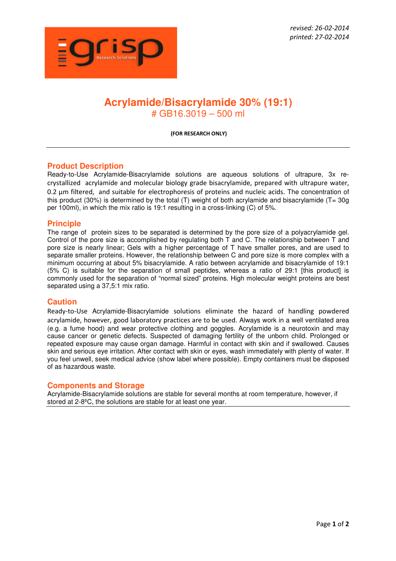

# **Acrylamide/Bisacrylamide 30% (19:1)**  # GB16.3019 – 500 ml

**(FOR RESEARCH ONLY)** 

## **Product Description**

Ready-to-Use Acrylamide-Bisacrylamide solutions are aqueous solutions of ultrapure, 3x recrystallized acrylamide and molecular biology grade bisacrylamide, prepared with ultrapure water, 0.2 um filtered, and suitable for electrophoresis of proteins and nucleic acids. The concentration of this product (30%) is determined by the total (T) weight of both acrylamide and bisacrylamide (T= 30g per 100ml), in which the mix ratio is 19:1 resulting in a cross-linking (C) of 5%.

#### **Principle**

The range of protein sizes to be separated is determined by the pore size of a polyacrylamide gel. Control of the pore size is accomplished by regulating both T and C. The relationship between T and pore size is nearly linear; Gels with a higher percentage of T have smaller pores, and are used to separate smaller proteins. However, the relationship between C and pore size is more complex with a minimum occurring at about 5% bisacrylamide. A ratio between acrylamide and bisacrylamide of 19:1 (5% C) is suitable for the separation of small peptides, whereas a ratio of 29:1 [this product] is commonly used for the separation of "normal sized" proteins. High molecular weight proteins are best separated using a 37,5:1 mix ratio.

#### **Caution**

Ready-to-Use Acrylamide-Bisacrylamide solutions eliminate the hazard of handling powdered acrylamide, however, good laboratory practices are to be used. Always work in a well ventilated area (e.g. a fume hood) and wear protective clothing and goggles. Acrylamide is a neurotoxin and may cause cancer or genetic defects. Suspected of damaging fertility of the unborn child. Prolonged or repeated exposure may cause organ damage. Harmful in contact with skin and if swallowed. Causes skin and serious eye irritation. After contact with skin or eyes, wash immediately with plenty of water. If you feel unwell, seek medical advice (show label where possible). Empty containers must be disposed of as hazardous waste.

#### **Components and Storage**

Acrylamide-Bisacrylamide solutions are stable for several months at room temperature, however, if stored at 2-8ºC, the solutions are stable for at least one year.